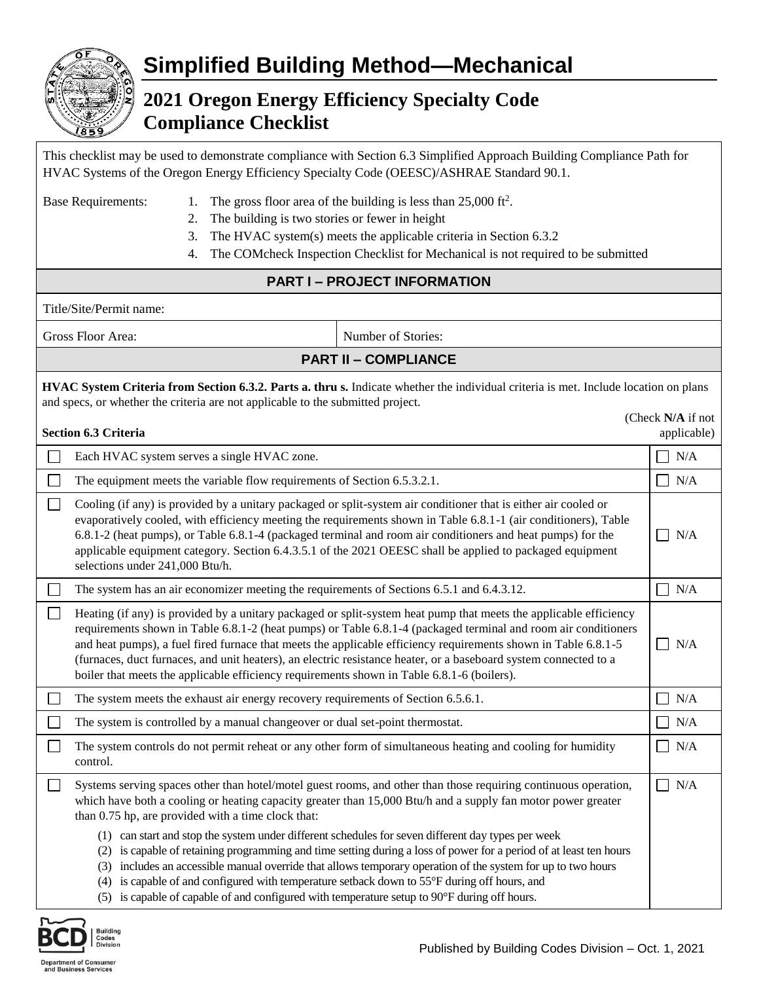

## **Simplified Building Method—Mechanical**

## **2021 Oregon Energy Efficiency Specialty Code Compliance Checklist**

| This checklist may be used to demonstrate compliance with Section 6.3 Simplified Approach Building Compliance Path for |
|------------------------------------------------------------------------------------------------------------------------|
| HVAC Systems of the Oregon Energy Efficiency Specialty Code (OEESC)/ASHRAE Standard 90.1.                              |

- Base Requirements: 1. The gross floor area of the building is less than 25,000 ft<sup>2</sup>. 2. The building is two stories or fewer in height
	- 3. The HVAC system(s) meets the applicable criteria in Section 6.3.2
	- 4. The COMcheck Inspection Checklist for Mechanical is not required to be submitted

## **PART I – PROJECT INFORMATION**

Title/Site/Permit name:

Gross Floor Area: Number of Stories:

| <b>PART II - COMPLIANCE</b> |
|-----------------------------|
|                             |

| HVAC System Criteria from Section 6.3.2. Parts a. thru s. Indicate whether the individual criteria is met. Include location on plans |
|--------------------------------------------------------------------------------------------------------------------------------------|
| and specs, or whether the criteria are not applicable to the submitted project.                                                      |

|  | Section 6.3 Criteria |  |
|--|----------------------|--|

|        | Section 6.3 Criteria                                                                                                                                                                                                                                                                                                                                                                                                                                                                                                                                                    | applicable)           |
|--------|-------------------------------------------------------------------------------------------------------------------------------------------------------------------------------------------------------------------------------------------------------------------------------------------------------------------------------------------------------------------------------------------------------------------------------------------------------------------------------------------------------------------------------------------------------------------------|-----------------------|
|        | Each HVAC system serves a single HVAC zone.                                                                                                                                                                                                                                                                                                                                                                                                                                                                                                                             | N/A                   |
| $\Box$ | The equipment meets the variable flow requirements of Section 6.5.3.2.1.                                                                                                                                                                                                                                                                                                                                                                                                                                                                                                | N/A<br>$\blacksquare$ |
| $\Box$ | Cooling (if any) is provided by a unitary packaged or split-system air conditioner that is either air cooled or<br>evaporatively cooled, with efficiency meeting the requirements shown in Table 6.8.1-1 (air conditioners), Table<br>6.8.1-2 (heat pumps), or Table 6.8.1-4 (packaged terminal and room air conditioners and heat pumps) for the<br>applicable equipment category. Section 6.4.3.5.1 of the 2021 OEESC shall be applied to packaged equipment<br>selections under 241,000 Btu/h.                                                                       | N/A                   |
|        | The system has an air economizer meeting the requirements of Sections 6.5.1 and 6.4.3.12.                                                                                                                                                                                                                                                                                                                                                                                                                                                                               | N/A<br>$\sim$         |
| $\Box$ | Heating (if any) is provided by a unitary packaged or split-system heat pump that meets the applicable efficiency<br>requirements shown in Table 6.8.1-2 (heat pumps) or Table 6.8.1-4 (packaged terminal and room air conditioners<br>and heat pumps), a fuel fired furnace that meets the applicable efficiency requirements shown in Table 6.8.1-5<br>(furnaces, duct furnaces, and unit heaters), an electric resistance heater, or a baseboard system connected to a<br>boiler that meets the applicable efficiency requirements shown in Table 6.8.1-6 (boilers). | N/A                   |
|        | The system meets the exhaust air energy recovery requirements of Section 6.5.6.1.                                                                                                                                                                                                                                                                                                                                                                                                                                                                                       | N/A<br>$\sim$         |
|        | The system is controlled by a manual changeover or dual set-point thermostat.                                                                                                                                                                                                                                                                                                                                                                                                                                                                                           | $\sim$<br>N/A         |
| $\Box$ | The system controls do not permit reheat or any other form of simultaneous heating and cooling for humidity<br>control.                                                                                                                                                                                                                                                                                                                                                                                                                                                 | N/A<br>$\sim$         |
| $\Box$ | Systems serving spaces other than hotel/motel guest rooms, and other than those requiring continuous operation,<br>which have both a cooling or heating capacity greater than 15,000 Btu/h and a supply fan motor power greater<br>than 0.75 hp, are provided with a time clock that:                                                                                                                                                                                                                                                                                   | N/A<br>$\sim$         |
|        | (1) can start and stop the system under different schedules for seven different day types per week<br>is capable of retaining programming and time setting during a loss of power for a period of at least ten hours<br>(2)<br>includes an accessible manual override that allows temporary operation of the system for up to two hours<br>(3)<br>is capable of and configured with temperature setback down to 55°F during off hours, and<br>(4)                                                                                                                       |                       |

(5) is capable of capable of and configured with temperature setup to 90°F during off hours.



(Check **N/A** if not